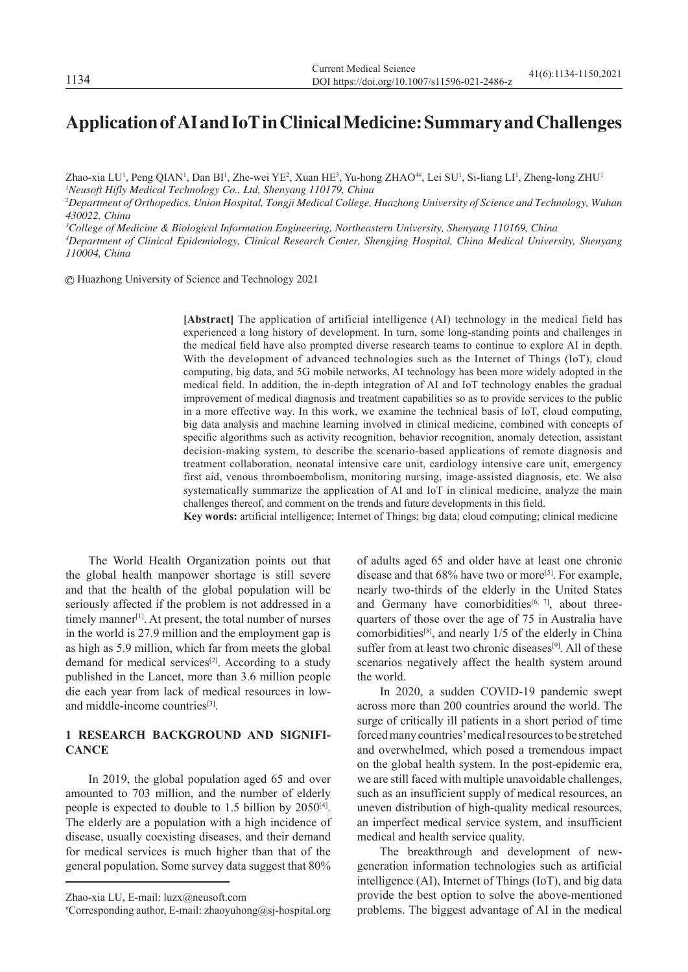# **Application of AI and IoT in Clinical Medicine: Summary and Challenges**

Zhao-xia LU<sup>1</sup>, Peng QIAN<sup>1</sup>, Dan BI<sup>1</sup>, Zhe-wei YE<sup>2</sup>, Xuan HE<sup>3</sup>, Yu-hong ZHAO<sup>4#</sup>, Lei SU<sup>1</sup>, Si-liang LI<sup>1</sup>, Zheng-long ZHU<sup>1</sup> *1 Neusoft Hifly Medical Technology Co., Ltd, Shenyang 110179, China*

*2 Department of Orthopedics, Union Hospital, Tongji Medical College, Huazhong University of Science and Technology, Wuhan 430022, China*

*3 College of Medicine & Biological Information Engineering, Northeastern University, Shenyang 110169, China*

*4 Department of Clinical Epidemiology, Clinical Research Center, Shengjing Hospital, China Medical University, Shenyang 110004, China* 

Huazhong University of Science and Technology 2021

**[Abstract]** The application of artificial intelligence (AI) technology in the medical field has experienced a long history of development. In turn, some long-standing points and challenges in the medical field have also prompted diverse research teams to continue to explore AI in depth. With the development of advanced technologies such as the Internet of Things (IoT), cloud computing, big data, and 5G mobile networks, AI technology has been more widely adopted in the medical field. In addition, the in-depth integration of AI and IoT technology enables the gradual improvement of medical diagnosis and treatment capabilities so as to provide services to the public in a more effective way. In this work, we examine the technical basis of IoT, cloud computing, big data analysis and machine learning involved in clinical medicine, combined with concepts of specific algorithms such as activity recognition, behavior recognition, anomaly detection, assistant decision-making system, to describe the scenario-based applications of remote diagnosis and treatment collaboration, neonatal intensive care unit, cardiology intensive care unit, emergency first aid, venous thromboembolism, monitoring nursing, image-assisted diagnosis, etc. We also systematically summarize the application of AI and IoT in clinical medicine, analyze the main challenges thereof, and comment on the trends and future developments in this field.

**Key words:** artificial intelligence; Internet of Things; big data; cloud computing; clinical medicine

The World Health Organization points out that the global health manpower shortage is still severe and that the health of the global population will be seriously affected if the problem is not addressed in a timely manner<sup>[1]</sup>. At present, the total number of nurses in the world is 27.9 million and the employment gap is as high as 5.9 million, which far from meets the global demand for medical services<sup>[2]</sup>. According to a study published in the Lancet, more than 3.6 million people die each year from lack of medical resources in lowand middle-income countries[3].

## **1 RESEARCH BACKGROUND AND SIGNIFI-CANCE**

In 2019, the global population aged 65 and over amounted to 703 million, and the number of elderly people is expected to double to 1.5 billion by 2050[4]. The elderly are a population with a high incidence of disease, usually coexisting diseases, and their demand for medical services is much higher than that of the general population. Some survey data suggest that 80%

of adults aged 65 and older have at least one chronic disease and that 68% have two or more<sup>[5]</sup>. For example, nearly two-thirds of the elderly in the United States and Germany have comorbidities<sup>[6, 7]</sup>, about threequarters of those over the age of 75 in Australia have comorbidities[8], and nearly 1/5 of the elderly in China suffer from at least two chronic diseases<sup>[9]</sup>. All of these scenarios negatively affect the health system around the world.

In 2020, a sudden COVID-19 pandemic swept across more than 200 countries around the world. The surge of critically ill patients in a short period of time forced many countries' medical resources to be stretched and overwhelmed, which posed a tremendous impact on the global health system. In the post-epidemic era, we are still faced with multiple unavoidable challenges, such as an insufficient supply of medical resources, an uneven distribution of high-quality medical resources, an imperfect medical service system, and insufficient medical and health service quality.

The breakthrough and development of newgeneration information technologies such as artificial intelligence (AI), Internet of Things (IoT), and big data provide the best option to solve the above-mentioned problems. The biggest advantage of AI in the medical

Zhao-xia LU, E-mail: luzx@neusoft.com

<sup>#</sup> Corresponding author, E-mail: zhaoyuhong@sj-hospital.org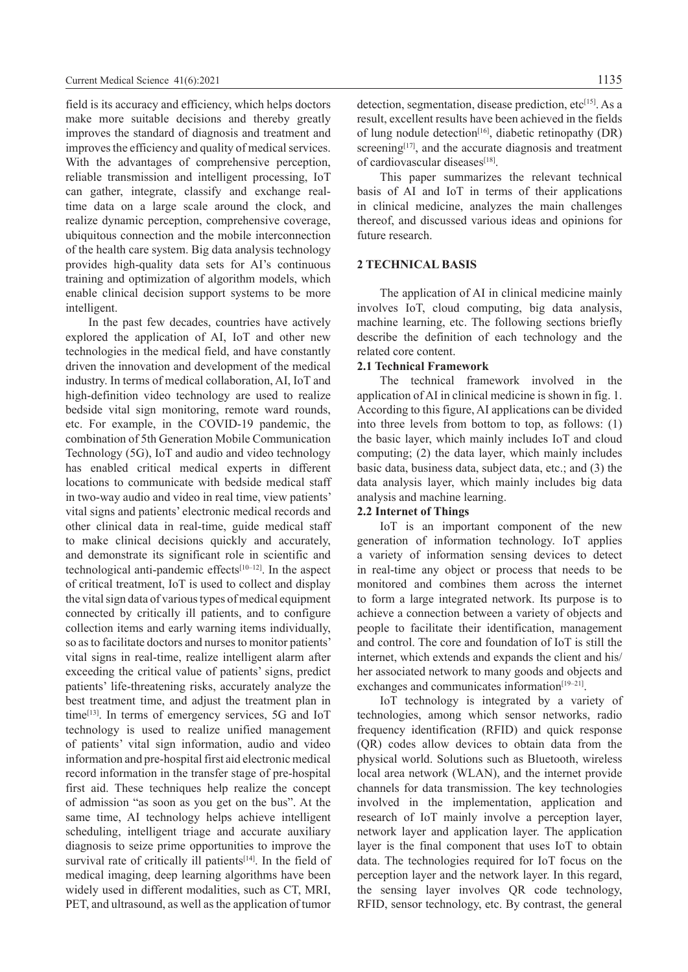field is its accuracy and efficiency, which helps doctors make more suitable decisions and thereby greatly improves the standard of diagnosis and treatment and improves the efficiency and quality of medical services. With the advantages of comprehensive perception, reliable transmission and intelligent processing, IoT can gather, integrate, classify and exchange realtime data on a large scale around the clock, and realize dynamic perception, comprehensive coverage, ubiquitous connection and the mobile interconnection of the health care system. Big data analysis technology provides high-quality data sets for AI's continuous training and optimization of algorithm models, which enable clinical decision support systems to be more intelligent.

In the past few decades, countries have actively explored the application of AI, IoT and other new technologies in the medical field, and have constantly driven the innovation and development of the medical industry. In terms of medical collaboration, AI, IoT and high-definition video technology are used to realize bedside vital sign monitoring, remote ward rounds, etc. For example, in the COVID-19 pandemic, the combination of 5th Generation Mobile Communication Technology (5G), IoT and audio and video technology has enabled critical medical experts in different locations to communicate with bedside medical staff in two-way audio and video in real time, view patients' vital signs and patients' electronic medical records and other clinical data in real-time, guide medical staff to make clinical decisions quickly and accurately, and demonstrate its significant role in scientific and technological anti-pandemic effects $[10-12]$ . In the aspect of critical treatment, IoT is used to collect and display the vital sign data of various types of medical equipment connected by critically ill patients, and to configure collection items and early warning items individually, so as to facilitate doctors and nurses to monitor patients' vital signs in real-time, realize intelligent alarm after exceeding the critical value of patients' signs, predict patients' life-threatening risks, accurately analyze the best treatment time, and adjust the treatment plan in time $[13]$ . In terms of emergency services, 5G and IoT technology is used to realize unified management of patients' vital sign information, audio and video information and pre-hospital first aid electronic medical record information in the transfer stage of pre-hospital first aid. These techniques help realize the concept of admission "as soon as you get on the bus". At the same time, AI technology helps achieve intelligent scheduling, intelligent triage and accurate auxiliary diagnosis to seize prime opportunities to improve the survival rate of critically ill patients<sup>[14]</sup>. In the field of medical imaging, deep learning algorithms have been widely used in different modalities, such as CT, MRI, PET, and ultrasound, as well as the application of tumor

detection, segmentation, disease prediction, etc<sup>[15]</sup>. As a result, excellent results have been achieved in the fields of lung nodule detection<sup>[16]</sup>, diabetic retinopathy (DR) screening<sup>[17]</sup>, and the accurate diagnosis and treatment of cardiovascular diseases[18].

This paper summarizes the relevant technical basis of AI and IoT in terms of their applications in clinical medicine, analyzes the main challenges thereof, and discussed various ideas and opinions for future research.

## **2 TECHNICAL BASIS**

The application of AI in clinical medicine mainly involves IoT, cloud computing, big data analysis, machine learning, etc. The following sections briefly describe the definition of each technology and the related core content.

## **2.1 Technical Framework**

The technical framework involved in the application of AI in clinical medicine is shown in fig. 1. According to this figure, AI applications can be divided into three levels from bottom to top, as follows: (1) the basic layer, which mainly includes IoT and cloud computing; (2) the data layer, which mainly includes basic data, business data, subject data, etc.; and (3) the data analysis layer, which mainly includes big data analysis and machine learning.

#### **2.2 Internet of Things**

IoT is an important component of the new generation of information technology. IoT applies a variety of information sensing devices to detect in real-time any object or process that needs to be monitored and combines them across the internet to form a large integrated network. Its purpose is to achieve a connection between a variety of objects and people to facilitate their identification, management and control. The core and foundation of IoT is still the internet, which extends and expands the client and his/ her associated network to many goods and objects and exchanges and communicates information<sup>[19–21]</sup>.

IoT technology is integrated by a variety of technologies, among which sensor networks, radio frequency identification (RFID) and quick response (QR) codes allow devices to obtain data from the physical world. Solutions such as Bluetooth, wireless local area network (WLAN), and the internet provide channels for data transmission. The key technologies involved in the implementation, application and research of IoT mainly involve a perception layer, network layer and application layer. The application layer is the final component that uses IoT to obtain data. The technologies required for IoT focus on the perception layer and the network layer. In this regard, the sensing layer involves QR code technology, RFID, sensor technology, etc. By contrast, the general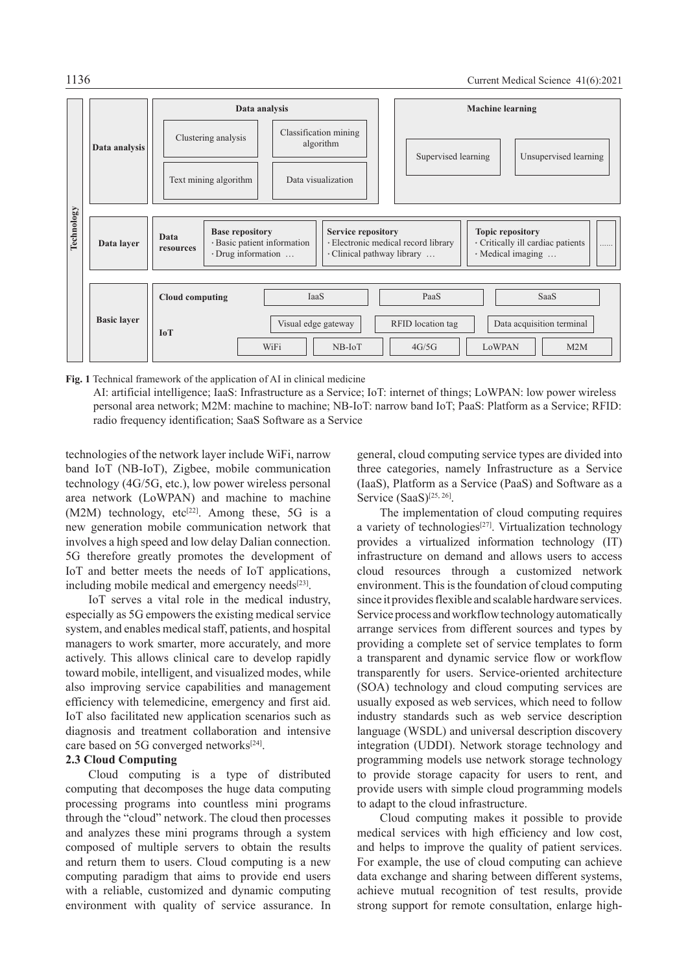

**Fig. 1** Technical framework of the application of AI in clinical medicine

AI: artificial intelligence; IaaS: Infrastructure as a Service; IoT: internet of things; LoWPAN: low power wireless personal area network; M2M: machine to machine; NB-IoT: narrow band IoT; PaaS: Platform as a Service; RFID: radio frequency identification; SaaS Software as a Service

technologies of the network layer include WiFi, narrow band IoT (NB-IoT), Zigbee, mobile communication technology (4G/5G, etc.), low power wireless personal area network (LoWPAN) and machine to machine  $(M2M)$  technology, etc<sup>[22]</sup>. Among these, 5G is a new generation mobile communication network that involves a high speed and low delay Dalian connection. 5G therefore greatly promotes the development of IoT and better meets the needs of IoT applications, including mobile medical and emergency needs<sup>[23]</sup>.

IoT serves a vital role in the medical industry, especially as 5G empowers the existing medical service system, and enables medical staff, patients, and hospital managers to work smarter, more accurately, and more actively. This allows clinical care to develop rapidly toward mobile, intelligent, and visualized modes, while also improving service capabilities and management efficiency with telemedicine, emergency and first aid. IoT also facilitated new application scenarios such as diagnosis and treatment collaboration and intensive care based on 5G converged networks[24].

## **2.3 Cloud Computing**

Cloud computing is a type of distributed computing that decomposes the huge data computing processing programs into countless mini programs through the "cloud" network. The cloud then processes and analyzes these mini programs through a system composed of multiple servers to obtain the results and return them to users. Cloud computing is a new computing paradigm that aims to provide end users with a reliable, customized and dynamic computing environment with quality of service assurance. In

general, cloud computing service types are divided into three categories, namely Infrastructure as a Service (IaaS), Platform as a Service (PaaS) and Software as a Service (SaaS)<sup>[25, 26]</sup>.

The implementation of cloud computing requires a variety of technologies<sup>[27]</sup>. Virtualization technology provides a virtualized information technology (IT) infrastructure on demand and allows users to access cloud resources through a customized network environment. This is the foundation of cloud computing since it provides flexible and scalable hardware services. Service process and workflow technology automatically arrange services from different sources and types by providing a complete set of service templates to form a transparent and dynamic service flow or workflow transparently for users. Service-oriented architecture (SOA) technology and cloud computing services are usually exposed as web services, which need to follow industry standards such as web service description language (WSDL) and universal description discovery integration (UDDI). Network storage technology and programming models use network storage technology to provide storage capacity for users to rent, and provide users with simple cloud programming models to adapt to the cloud infrastructure.

Cloud computing makes it possible to provide medical services with high efficiency and low cost, and helps to improve the quality of patient services. For example, the use of cloud computing can achieve data exchange and sharing between different systems, achieve mutual recognition of test results, provide strong support for remote consultation, enlarge high-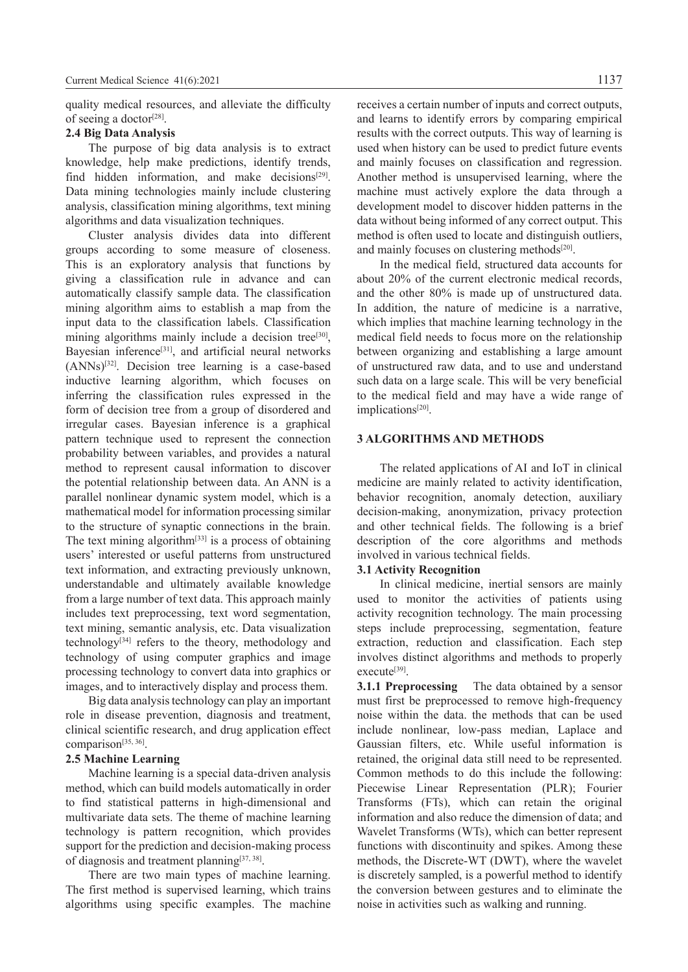quality medical resources, and alleviate the difficulty of seeing a doctor<sup>[28]</sup>.

## **2.4 Big Data Analysis**

The purpose of big data analysis is to extract knowledge, help make predictions, identify trends, find hidden information, and make decisions $[29]$ . Data mining technologies mainly include clustering analysis, classification mining algorithms, text mining algorithms and data visualization techniques.

Cluster analysis divides data into different groups according to some measure of closeness. This is an exploratory analysis that functions by giving a classification rule in advance and can automatically classify sample data. The classification mining algorithm aims to establish a map from the input data to the classification labels. Classification mining algorithms mainly include a decision tree<sup>[30]</sup>, Bayesian inference<sup>[31]</sup>, and artificial neural networks (ANNs)[32]. Decision tree learning is a case-based inductive learning algorithm, which focuses on inferring the classification rules expressed in the form of decision tree from a group of disordered and irregular cases. Bayesian inference is a graphical pattern technique used to represent the connection probability between variables, and provides a natural method to represent causal information to discover the potential relationship between data. An ANN is a parallel nonlinear dynamic system model, which is a mathematical model for information processing similar to the structure of synaptic connections in the brain. The text mining algorithm $[33]$  is a process of obtaining users' interested or useful patterns from unstructured text information, and extracting previously unknown, understandable and ultimately available knowledge from a large number of text data. This approach mainly includes text preprocessing, text word segmentation, text mining, semantic analysis, etc. Data visualization technology[34] refers to the theory, methodology and technology of using computer graphics and image processing technology to convert data into graphics or images, and to interactively display and process them.

Big data analysis technology can play an important role in disease prevention, diagnosis and treatment, clinical scientific research, and drug application effect comparison[35, 36].

#### **2.5 Machine Learning**

Machine learning is a special data-driven analysis method, which can build models automatically in order to find statistical patterns in high-dimensional and multivariate data sets. The theme of machine learning technology is pattern recognition, which provides support for the prediction and decision-making process of diagnosis and treatment planning[37, 38].

There are two main types of machine learning. The first method is supervised learning, which trains algorithms using specific examples. The machine receives a certain number of inputs and correct outputs, and learns to identify errors by comparing empirical results with the correct outputs. This way of learning is used when history can be used to predict future events and mainly focuses on classification and regression. Another method is unsupervised learning, where the machine must actively explore the data through a development model to discover hidden patterns in the data without being informed of any correct output. This method is often used to locate and distinguish outliers, and mainly focuses on clustering methods<sup>[20]</sup>.

In the medical field, structured data accounts for about 20% of the current electronic medical records, and the other 80% is made up of unstructured data. In addition, the nature of medicine is a narrative, which implies that machine learning technology in the medical field needs to focus more on the relationship between organizing and establishing a large amount of unstructured raw data, and to use and understand such data on a large scale. This will be very beneficial to the medical field and may have a wide range of implications<sup>[20]</sup>.

## **3 ALGORITHMS AND METHODS**

The related applications of AI and IoT in clinical medicine are mainly related to activity identification, behavior recognition, anomaly detection, auxiliary decision-making, anonymization, privacy protection and other technical fields. The following is a brief description of the core algorithms and methods involved in various technical fields.

#### **3.1 Activity Recognition**

In clinical medicine, inertial sensors are mainly used to monitor the activities of patients using activity recognition technology. The main processing steps include preprocessing, segmentation, feature extraction, reduction and classification. Each step involves distinct algorithms and methods to properly execute<sup>[39]</sup>.

**3.1.1 Preprocessing** The data obtained by a sensor must first be preprocessed to remove high-frequency noise within the data. the methods that can be used include nonlinear, low-pass median, Laplace and Gaussian filters, etc. While useful information is retained, the original data still need to be represented. Common methods to do this include the following: Piecewise Linear Representation (PLR); Fourier Transforms (FTs), which can retain the original information and also reduce the dimension of data; and Wavelet Transforms (WTs), which can better represent functions with discontinuity and spikes. Among these methods, the Discrete-WT (DWT), where the wavelet is discretely sampled, is a powerful method to identify the conversion between gestures and to eliminate the noise in activities such as walking and running.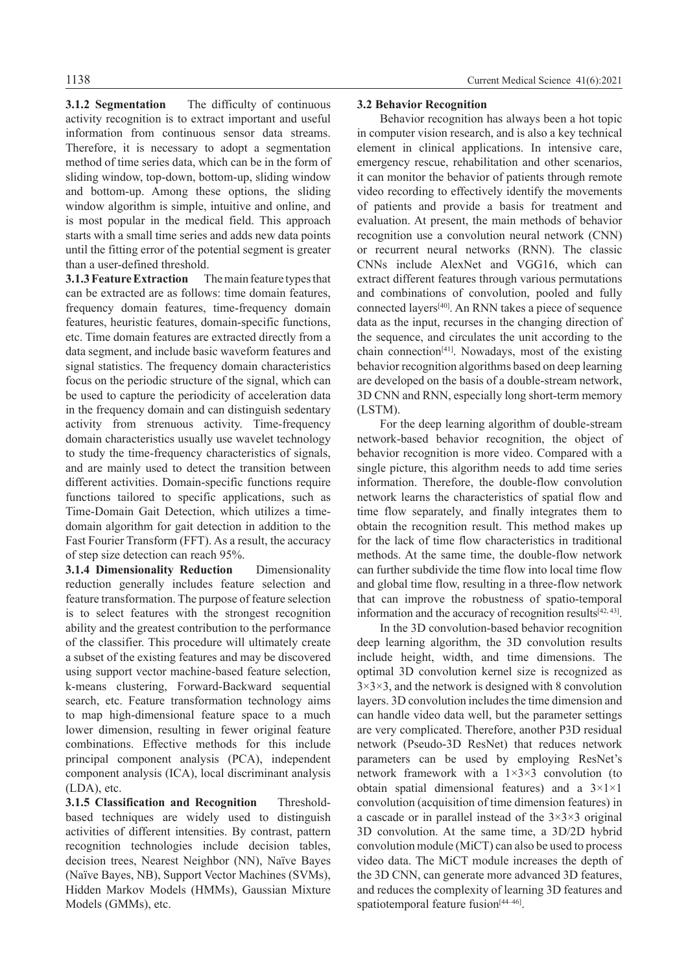**3.1.2 Segmentation** The difficulty of continuous activity recognition is to extract important and useful information from continuous sensor data streams. Therefore, it is necessary to adopt a segmentation method of time series data, which can be in the form of sliding window, top-down, bottom-up, sliding window and bottom-up. Among these options, the sliding window algorithm is simple, intuitive and online, and is most popular in the medical field. This approach starts with a small time series and adds new data points until the fitting error of the potential segment is greater than a user-defined threshold.

**3.1.3 Feature Extraction** The main feature types that can be extracted are as follows: time domain features, frequency domain features, time-frequency domain features, heuristic features, domain-specific functions, etc. Time domain features are extracted directly from a data segment, and include basic waveform features and signal statistics. The frequency domain characteristics focus on the periodic structure of the signal, which can be used to capture the periodicity of acceleration data in the frequency domain and can distinguish sedentary activity from strenuous activity. Time-frequency domain characteristics usually use wavelet technology to study the time-frequency characteristics of signals, and are mainly used to detect the transition between different activities. Domain-specific functions require functions tailored to specific applications, such as Time-Domain Gait Detection, which utilizes a timedomain algorithm for gait detection in addition to the Fast Fourier Transform (FFT). As a result, the accuracy of step size detection can reach 95%.

**3.1.4 Dimensionality Reduction** Dimensionality reduction generally includes feature selection and feature transformation. The purpose of feature selection is to select features with the strongest recognition ability and the greatest contribution to the performance of the classifier. This procedure will ultimately create a subset of the existing features and may be discovered using support vector machine-based feature selection, k-means clustering, Forward-Backward sequential search, etc. Feature transformation technology aims to map high-dimensional feature space to a much lower dimension, resulting in fewer original feature combinations. Effective methods for this include principal component analysis (PCA), independent component analysis (ICA), local discriminant analysis (LDA), etc.

**3.1.5 Classification and Recognition** Thresholdbased techniques are widely used to distinguish activities of different intensities. By contrast, pattern recognition technologies include decision tables, decision trees, Nearest Neighbor (NN), Naïve Bayes (Naïve Bayes, NB), Support Vector Machines (SVMs), Hidden Markov Models (HMMs), Gaussian Mixture Models (GMMs), etc.

#### 1138 Current Medical Science 41(6):2021

#### **3.2 Behavior Recognition**

Behavior recognition has always been a hot topic in computer vision research, and is also a key technical element in clinical applications. In intensive care, emergency rescue, rehabilitation and other scenarios, it can monitor the behavior of patients through remote video recording to effectively identify the movements of patients and provide a basis for treatment and evaluation. At present, the main methods of behavior recognition use a convolution neural network (CNN) or recurrent neural networks (RNN). The classic CNNs include AlexNet and VGG16, which can extract different features through various permutations and combinations of convolution, pooled and fully connected layers[40]. An RNN takes a piece of sequence data as the input, recurses in the changing direction of the sequence, and circulates the unit according to the chain connection<sup>[41]</sup>. Nowadays, most of the existing behavior recognition algorithms based on deep learning are developed on the basis of a double-stream network, 3D CNN and RNN, especially long short-term memory (LSTM).

For the deep learning algorithm of double-stream network-based behavior recognition, the object of behavior recognition is more video. Compared with a single picture, this algorithm needs to add time series information. Therefore, the double-flow convolution network learns the characteristics of spatial flow and time flow separately, and finally integrates them to obtain the recognition result. This method makes up for the lack of time flow characteristics in traditional methods. At the same time, the double-flow network can further subdivide the time flow into local time flow and global time flow, resulting in a three-flow network that can improve the robustness of spatio-temporal information and the accuracy of recognition results $[42, 43]$ .

In the 3D convolution-based behavior recognition deep learning algorithm, the 3D convolution results include height, width, and time dimensions. The optimal 3D convolution kernel size is recognized as  $3\times3\times3$ , and the network is designed with 8 convolution layers. 3D convolution includes the time dimension and can handle video data well, but the parameter settings are very complicated. Therefore, another P3D residual network (Pseudo-3D ResNet) that reduces network parameters can be used by employing ResNet's network framework with a  $1\times3\times3$  convolution (to obtain spatial dimensional features) and a 3×1×1 convolution (acquisition of time dimension features) in a cascade or in parallel instead of the  $3\times3\times3$  original 3D convolution. At the same time, a 3D/2D hybrid convolution module (MiCT) can also be used to process video data. The MiCT module increases the depth of the 3D CNN, can generate more advanced 3D features, and reduces the complexity of learning 3D features and spatiotemporal feature fusion $[44-46]$ .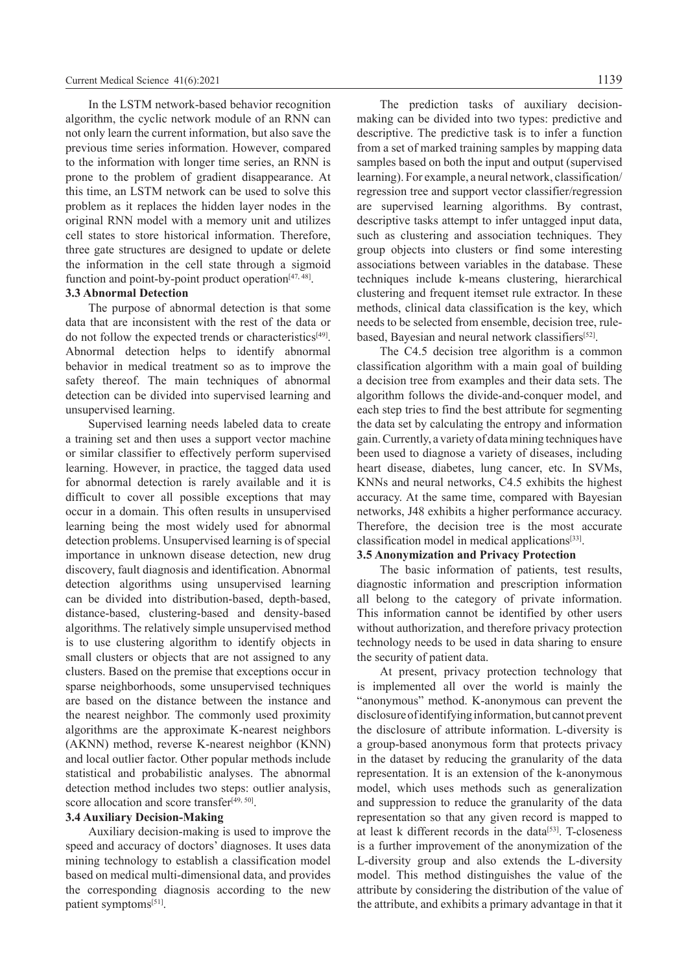In the LSTM network-based behavior recognition algorithm, the cyclic network module of an RNN can not only learn the current information, but also save the previous time series information. However, compared to the information with longer time series, an RNN is prone to the problem of gradient disappearance. At this time, an LSTM network can be used to solve this problem as it replaces the hidden layer nodes in the original RNN model with a memory unit and utilizes cell states to store historical information. Therefore, three gate structures are designed to update or delete the information in the cell state through a sigmoid function and point-by-point product operation $[47, 48]$ .

#### **3.3 Abnormal Detection**

The purpose of abnormal detection is that some data that are inconsistent with the rest of the data or do not follow the expected trends or characteristics[49]. Abnormal detection helps to identify abnormal behavior in medical treatment so as to improve the safety thereof. The main techniques of abnormal detection can be divided into supervised learning and unsupervised learning.

Supervised learning needs labeled data to create a training set and then uses a support vector machine or similar classifier to effectively perform supervised learning. However, in practice, the tagged data used for abnormal detection is rarely available and it is difficult to cover all possible exceptions that may occur in a domain. This often results in unsupervised learning being the most widely used for abnormal detection problems. Unsupervised learning is of special importance in unknown disease detection, new drug discovery, fault diagnosis and identification. Abnormal detection algorithms using unsupervised learning can be divided into distribution-based, depth-based, distance-based, clustering-based and density-based algorithms. The relatively simple unsupervised method is to use clustering algorithm to identify objects in small clusters or objects that are not assigned to any clusters. Based on the premise that exceptions occur in sparse neighborhoods, some unsupervised techniques are based on the distance between the instance and the nearest neighbor. The commonly used proximity algorithms are the approximate K-nearest neighbors (AKNN) method, reverse K-nearest neighbor (KNN) and local outlier factor. Other popular methods include statistical and probabilistic analyses. The abnormal detection method includes two steps: outlier analysis, score allocation and score transfer<sup>[49, 50]</sup>.

## **3.4 Auxiliary Decision-Making**

Auxiliary decision-making is used to improve the speed and accuracy of doctors' diagnoses. It uses data mining technology to establish a classification model based on medical multi-dimensional data, and provides the corresponding diagnosis according to the new patient symptoms[51].

The prediction tasks of auxiliary decisionmaking can be divided into two types: predictive and descriptive. The predictive task is to infer a function from a set of marked training samples by mapping data samples based on both the input and output (supervised learning). For example, a neural network, classification/ regression tree and support vector classifier/regression are supervised learning algorithms. By contrast, descriptive tasks attempt to infer untagged input data, such as clustering and association techniques. They group objects into clusters or find some interesting associations between variables in the database. These techniques include k-means clustering, hierarchical clustering and frequent itemset rule extractor. In these methods, clinical data classification is the key, which needs to be selected from ensemble, decision tree, rulebased, Bayesian and neural network classifiers<sup>[52]</sup>.

The C4.5 decision tree algorithm is a common classification algorithm with a main goal of building a decision tree from examples and their data sets. The algorithm follows the divide-and-conquer model, and each step tries to find the best attribute for segmenting the data set by calculating the entropy and information gain. Currently, a variety of data mining techniques have been used to diagnose a variety of diseases, including heart disease, diabetes, lung cancer, etc. In SVMs, KNNs and neural networks, C4.5 exhibits the highest accuracy. At the same time, compared with Bayesian networks, J48 exhibits a higher performance accuracy. Therefore, the decision tree is the most accurate classification model in medical applications $[33]$ .

#### **3.5 Anonymization and Privacy Protection**

The basic information of patients, test results, diagnostic information and prescription information all belong to the category of private information. This information cannot be identified by other users without authorization, and therefore privacy protection technology needs to be used in data sharing to ensure the security of patient data.

At present, privacy protection technology that is implemented all over the world is mainly the "anonymous" method. K-anonymous can prevent the disclosure of identifying information, but cannot prevent the disclosure of attribute information. L-diversity is a group-based anonymous form that protects privacy in the dataset by reducing the granularity of the data representation. It is an extension of the k-anonymous model, which uses methods such as generalization and suppression to reduce the granularity of the data representation so that any given record is mapped to at least k different records in the data<sup>[53]</sup>. T-closeness is a further improvement of the anonymization of the L-diversity group and also extends the L-diversity model. This method distinguishes the value of the attribute by considering the distribution of the value of the attribute, and exhibits a primary advantage in that it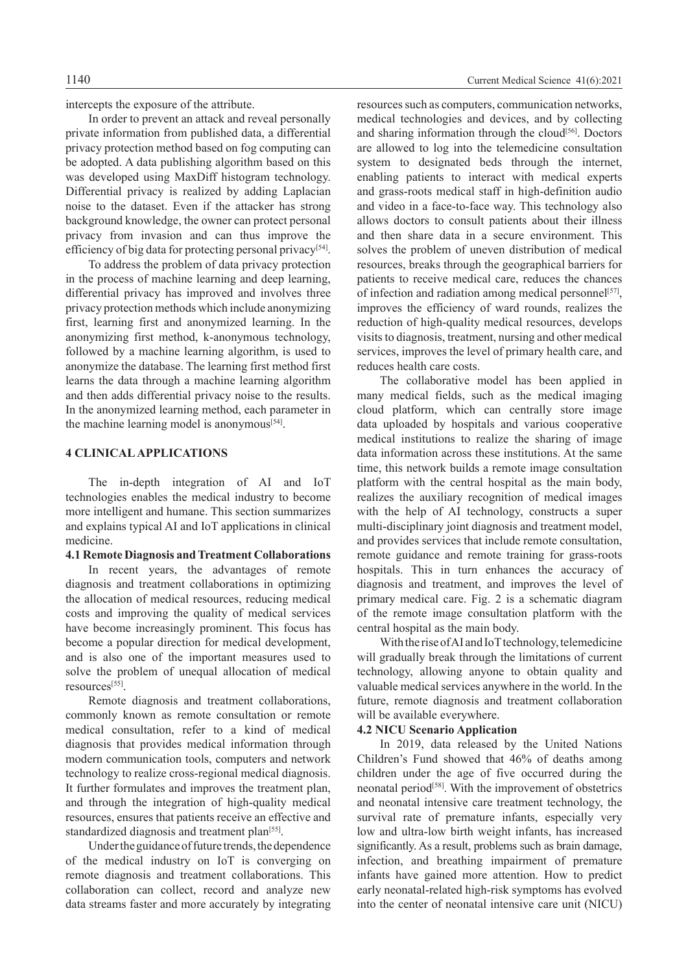intercepts the exposure of the attribute.

In order to prevent an attack and reveal personally private information from published data, a differential privacy protection method based on fog computing can be adopted. A data publishing algorithm based on this was developed using MaxDiff histogram technology. Differential privacy is realized by adding Laplacian noise to the dataset. Even if the attacker has strong background knowledge, the owner can protect personal privacy from invasion and can thus improve the efficiency of big data for protecting personal privacy<sup>[54]</sup>.

To address the problem of data privacy protection in the process of machine learning and deep learning, differential privacy has improved and involves three privacy protection methods which include anonymizing first, learning first and anonymized learning. In the anonymizing first method, k-anonymous technology, followed by a machine learning algorithm, is used to anonymize the database. The learning first method first learns the data through a machine learning algorithm and then adds differential privacy noise to the results. In the anonymized learning method, each parameter in the machine learning model is anonymous<sup>[54]</sup>.

## **4 CLINICAL APPLICATIONS**

The in-depth integration of AI and IoT technologies enables the medical industry to become more intelligent and humane. This section summarizes and explains typical AI and IoT applications in clinical medicine.

#### **4.1 Remote Diagnosis and Treatment Collaborations**

In recent years, the advantages of remote diagnosis and treatment collaborations in optimizing the allocation of medical resources, reducing medical costs and improving the quality of medical services have become increasingly prominent. This focus has become a popular direction for medical development, and is also one of the important measures used to solve the problem of unequal allocation of medical resources[55].

Remote diagnosis and treatment collaborations, commonly known as remote consultation or remote medical consultation, refer to a kind of medical diagnosis that provides medical information through modern communication tools, computers and network technology to realize cross-regional medical diagnosis. It further formulates and improves the treatment plan, and through the integration of high-quality medical resources, ensures that patients receive an effective and standardized diagnosis and treatment plan<sup>[55]</sup>.

Under the guidance of future trends, the dependence of the medical industry on IoT is converging on remote diagnosis and treatment collaborations. This collaboration can collect, record and analyze new data streams faster and more accurately by integrating resources such as computers, communication networks, medical technologies and devices, and by collecting and sharing information through the cloud<sup>[56]</sup>. Doctors are allowed to log into the telemedicine consultation system to designated beds through the internet, enabling patients to interact with medical experts and grass-roots medical staff in high-definition audio and video in a face-to-face way. This technology also allows doctors to consult patients about their illness and then share data in a secure environment. This solves the problem of uneven distribution of medical resources, breaks through the geographical barriers for patients to receive medical care, reduces the chances of infection and radiation among medical personnel<sup>[57]</sup>, improves the efficiency of ward rounds, realizes the reduction of high-quality medical resources, develops visits to diagnosis, treatment, nursing and other medical services, improves the level of primary health care, and reduces health care costs.

The collaborative model has been applied in many medical fields, such as the medical imaging cloud platform, which can centrally store image data uploaded by hospitals and various cooperative medical institutions to realize the sharing of image data information across these institutions. At the same time, this network builds a remote image consultation platform with the central hospital as the main body, realizes the auxiliary recognition of medical images with the help of AI technology, constructs a super multi-disciplinary joint diagnosis and treatment model, and provides services that include remote consultation, remote guidance and remote training for grass-roots hospitals. This in turn enhances the accuracy of diagnosis and treatment, and improves the level of primary medical care. Fig. 2 is a schematic diagram of the remote image consultation platform with the central hospital as the main body.

With the rise of AI and IoT technology, telemedicine will gradually break through the limitations of current technology, allowing anyone to obtain quality and valuable medical services anywhere in the world. In the future, remote diagnosis and treatment collaboration will be available everywhere.

## **4.2 NICU Scenario Application**

In 2019, data released by the United Nations Children's Fund showed that 46% of deaths among children under the age of five occurred during the neonatal period<sup>[58]</sup>. With the improvement of obstetrics and neonatal intensive care treatment technology, the survival rate of premature infants, especially very low and ultra-low birth weight infants, has increased significantly. As a result, problems such as brain damage, infection, and breathing impairment of premature infants have gained more attention. How to predict early neonatal-related high-risk symptoms has evolved into the center of neonatal intensive care unit (NICU)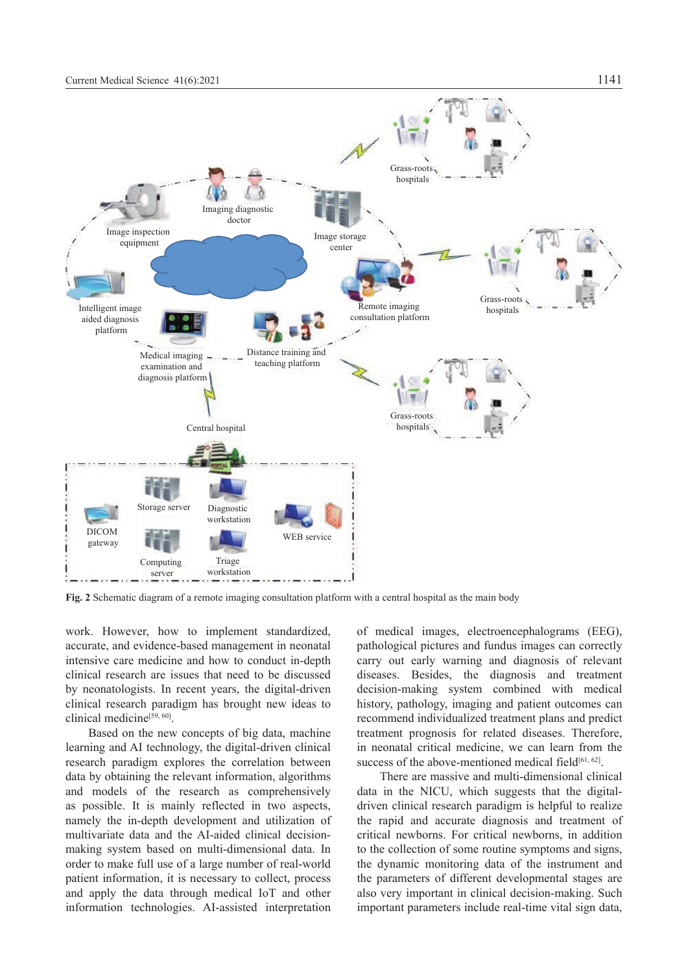Image inspection equipment





**Fig. 2** Schematic diagram of a remote imaging consultation platform with a central hospital as the main body

work. However, how to implement standardized, accurate, and evidence-based management in neonatal intensive care medicine and how to conduct in-depth clinical research are issues that need to be discussed by neonatologists. In recent years, the digital-driven clinical research paradigm has brought new ideas to clinical medicine<sup>[59, 60]</sup>.

Based on the new concepts of big data, machine learning and AI technology, the digital-driven clinical research paradigm explores the correlation between data by obtaining the relevant information, algorithms and models of the research as comprehensively as possible. It is mainly reflected in two aspects, namely the in-depth development and utilization of multivariate data and the AI-aided clinical decisionmaking system based on multi-dimensional data. In order to make full use of a large number of real-world patient information, it is necessary to collect, process and apply the data through medical IoT and other information technologies. AI-assisted interpretation

of medical images, electroencephalograms (EEG), pathological pictures and fundus images can correctly carry out early warning and diagnosis of relevant diseases. Besides, the diagnosis and treatment decision-making system combined with medical history, pathology, imaging and patient outcomes can recommend individualized treatment plans and predict treatment prognosis for related diseases. Therefore, in neonatal critical medicine, we can learn from the success of the above-mentioned medical field $[61, 62]$ .

There are massive and multi-dimensional clinical data in the NICU, which suggests that the digitaldriven clinical research paradigm is helpful to realize the rapid and accurate diagnosis and treatment of critical newborns. For critical newborns, in addition to the collection of some routine symptoms and signs, the dynamic monitoring data of the instrument and the parameters of different developmental stages are also very important in clinical decision-making. Such important parameters include real-time vital sign data,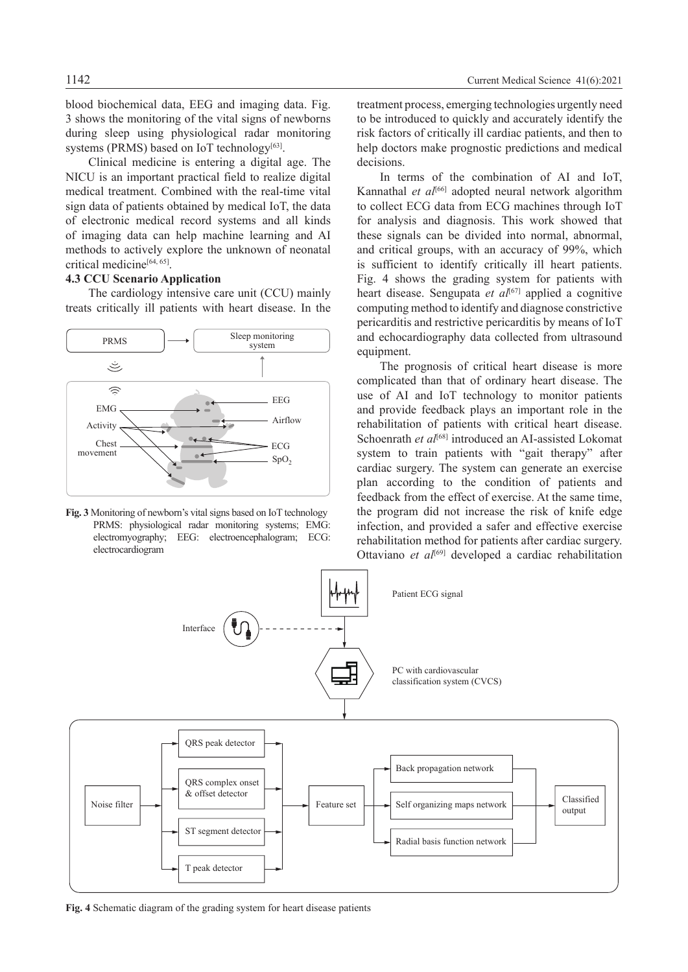blood biochemical data, EEG and imaging data. Fig. 3 shows the monitoring of the vital signs of newborns during sleep using physiological radar monitoring systems (PRMS) based on IoT technology<sup>[63]</sup>.

Clinical medicine is entering a digital age. The NICU is an important practical field to realize digital medical treatment. Combined with the real-time vital sign data of patients obtained by medical IoT, the data of electronic medical record systems and all kinds of imaging data can help machine learning and AI methods to actively explore the unknown of neonatal critical medicine<sup>[64, 65]</sup>.

## **4.3 CCU Scenario Application**

The cardiology intensive care unit (CCU) mainly treats critically ill patients with heart disease. In the



**Fig. 3** Monitoring of newborn's vital signs based on IoT technology PRMS: physiological radar monitoring systems; EMG: electromyography; EEG: electroencephalogram; ECG: electrocardiogram

treatment process, emerging technologies urgently need to be introduced to quickly and accurately identify the risk factors of critically ill cardiac patients, and then to help doctors make prognostic predictions and medical decisions.

In terms of the combination of AI and IoT, Kannathal *et al*[66] adopted neural network algorithm to collect ECG data from ECG machines through IoT for analysis and diagnosis. This work showed that these signals can be divided into normal, abnormal, and critical groups, with an accuracy of 99%, which is sufficient to identify critically ill heart patients. Fig. 4 shows the grading system for patients with heart disease. Sengupata et al<sup>[67]</sup> applied a cognitive computing method to identify and diagnose constrictive pericarditis and restrictive pericarditis by means of IoT and echocardiography data collected from ultrasound equipment.

The prognosis of critical heart disease is more complicated than that of ordinary heart disease. The use of AI and IoT technology to monitor patients and provide feedback plays an important role in the rehabilitation of patients with critical heart disease. Schoenrath et al<sup>[68]</sup> introduced an AI-assisted Lokomat system to train patients with "gait therapy" after cardiac surgery. The system can generate an exercise plan according to the condition of patients and feedback from the effect of exercise. At the same time, the program did not increase the risk of knife edge infection, and provided a safer and effective exercise rehabilitation method for patients after cardiac surgery. Ottaviano *et al*<sup>[69]</sup> developed a cardiac rehabilitation



**Fig. 4** Schematic diagram of the grading system for heart disease patients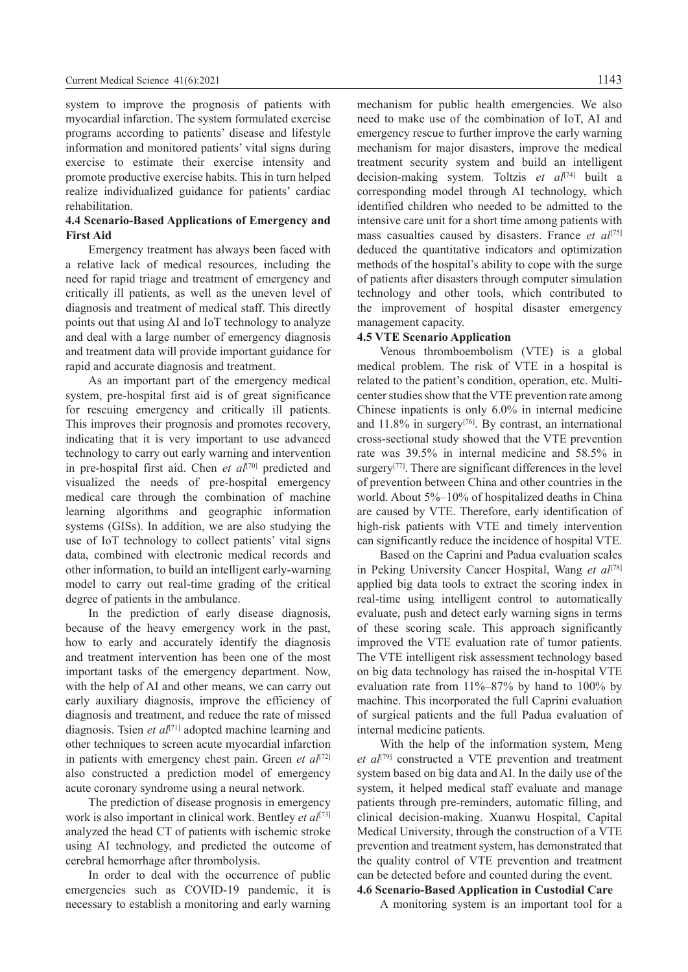system to improve the prognosis of patients with myocardial infarction. The system formulated exercise programs according to patients' disease and lifestyle information and monitored patients' vital signs during exercise to estimate their exercise intensity and promote productive exercise habits. This in turn helped realize individualized guidance for patients' cardiac rehabilitation.

## **4.4 Scenario-Based Applications of Emergency and First Aid**

Emergency treatment has always been faced with a relative lack of medical resources, including the need for rapid triage and treatment of emergency and critically ill patients, as well as the uneven level of diagnosis and treatment of medical staff. This directly points out that using AI and IoT technology to analyze and deal with a large number of emergency diagnosis and treatment data will provide important guidance for rapid and accurate diagnosis and treatment.

As an important part of the emergency medical system, pre-hospital first aid is of great significance for rescuing emergency and critically ill patients. This improves their prognosis and promotes recovery, indicating that it is very important to use advanced technology to carry out early warning and intervention in pre-hospital first aid. Chen *et al*<sup>[70]</sup> predicted and visualized the needs of pre-hospital emergency medical care through the combination of machine learning algorithms and geographic information systems (GISs). In addition, we are also studying the use of IoT technology to collect patients' vital signs data, combined with electronic medical records and other information, to build an intelligent early-warning model to carry out real-time grading of the critical degree of patients in the ambulance.

In the prediction of early disease diagnosis, because of the heavy emergency work in the past, how to early and accurately identify the diagnosis and treatment intervention has been one of the most important tasks of the emergency department. Now, with the help of AI and other means, we can carry out early auxiliary diagnosis, improve the efficiency of diagnosis and treatment, and reduce the rate of missed diagnosis. Tsien *et al*[71] adopted machine learning and other techniques to screen acute myocardial infarction in patients with emergency chest pain. Green *et al*<sup>[72]</sup> also constructed a prediction model of emergency acute coronary syndrome using a neural network.

The prediction of disease prognosis in emergency work is also important in clinical work. Bentley *et al*<sup>[73]</sup> analyzed the head CT of patients with ischemic stroke using AI technology, and predicted the outcome of cerebral hemorrhage after thrombolysis.

In order to deal with the occurrence of public emergencies such as COVID-19 pandemic, it is necessary to establish a monitoring and early warning

mechanism for public health emergencies. We also need to make use of the combination of IoT, AI and emergency rescue to further improve the early warning mechanism for major disasters, improve the medical treatment security system and build an intelligent decision-making system. Toltzis *et al*[74] built a corresponding model through AI technology, which identified children who needed to be admitted to the intensive care unit for a short time among patients with mass casualties caused by disasters. France *et al*<sup>[75]</sup> deduced the quantitative indicators and optimization methods of the hospital's ability to cope with the surge of patients after disasters through computer simulation technology and other tools, which contributed to the improvement of hospital disaster emergency management capacity.

#### **4.5 VTE Scenario Application**

Venous thromboembolism (VTE) is a global medical problem. The risk of VTE in a hospital is related to the patient's condition, operation, etc. Multicenter studies show that the VTE prevention rate among Chinese inpatients is only 6.0% in internal medicine and  $11.8\%$  in surgery<sup>[76]</sup>. By contrast, an international cross-sectional study showed that the VTE prevention rate was 39.5% in internal medicine and 58.5% in surgery<sup>[77]</sup>. There are significant differences in the level of prevention between China and other countries in the world. About 5%–10% of hospitalized deaths in China are caused by VTE. Therefore, early identification of high-risk patients with VTE and timely intervention can significantly reduce the incidence of hospital VTE.

Based on the Caprini and Padua evaluation scales in Peking University Cancer Hospital, Wang *et al*[78] applied big data tools to extract the scoring index in real-time using intelligent control to automatically evaluate, push and detect early warning signs in terms of these scoring scale. This approach significantly improved the VTE evaluation rate of tumor patients. The VTE intelligent risk assessment technology based on big data technology has raised the in-hospital VTE evaluation rate from 11%–87% by hand to 100% by machine. This incorporated the full Caprini evaluation of surgical patients and the full Padua evaluation of internal medicine patients.

With the help of the information system, Meng *et al*[79] constructed a VTE prevention and treatment system based on big data and AI. In the daily use of the system, it helped medical staff evaluate and manage patients through pre-reminders, automatic filling, and clinical decision-making. Xuanwu Hospital, Capital Medical University, through the construction of a VTE prevention and treatment system, has demonstrated that the quality control of VTE prevention and treatment can be detected before and counted during the event.

# **4.6 Scenario-Based Application in Custodial Care**

A monitoring system is an important tool for a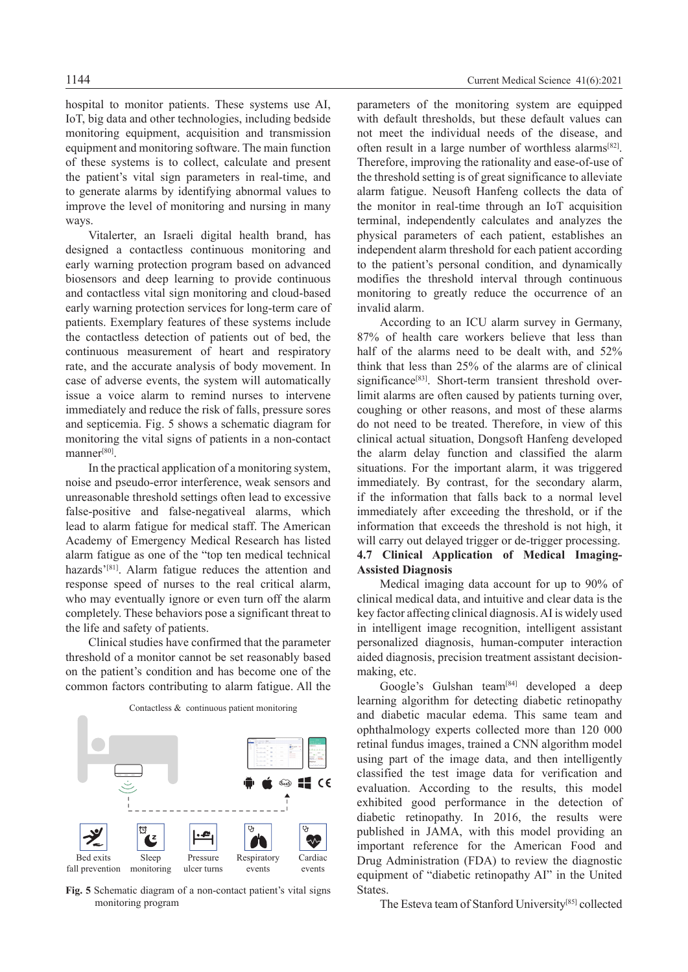hospital to monitor patients. These systems use AI, IoT, big data and other technologies, including bedside monitoring equipment, acquisition and transmission equipment and monitoring software. The main function of these systems is to collect, calculate and present the patient's vital sign parameters in real-time, and to generate alarms by identifying abnormal values to

ways. Vitalerter, an Israeli digital health brand, has designed a contactless continuous monitoring and early warning protection program based on advanced biosensors and deep learning to provide continuous and contactless vital sign monitoring and cloud-based early warning protection services for long-term care of patients. Exemplary features of these systems include the contactless detection of patients out of bed, the continuous measurement of heart and respiratory rate, and the accurate analysis of body movement. In case of adverse events, the system will automatically issue a voice alarm to remind nurses to intervene immediately and reduce the risk of falls, pressure sores and septicemia. Fig. 5 shows a schematic diagram for monitoring the vital signs of patients in a non-contact manner<sup>[80]</sup>.

improve the level of monitoring and nursing in many

In the practical application of a monitoring system, noise and pseudo-error interference, weak sensors and unreasonable threshold settings often lead to excessive false-positive and false-negativeal alarms, which lead to alarm fatigue for medical staff. The American Academy of Emergency Medical Research has listed alarm fatigue as one of the "top ten medical technical hazards'<sup>[81]</sup>. Alarm fatigue reduces the attention and response speed of nurses to the real critical alarm, who may eventually ignore or even turn off the alarm completely. These behaviors pose a significant threat to the life and safety of patients.

Clinical studies have confirmed that the parameter threshold of a monitor cannot be set reasonably based on the patient's condition and has become one of the common factors contributing to alarm fatigue. All the



**Fig. 5** Schematic diagram of a non-contact patient's vital signs monitoring program

parameters of the monitoring system are equipped with default thresholds, but these default values can not meet the individual needs of the disease, and often result in a large number of worthless alarms[82]. Therefore, improving the rationality and ease-of-use of the threshold setting is of great significance to alleviate alarm fatigue. Neusoft Hanfeng collects the data of the monitor in real-time through an IoT acquisition terminal, independently calculates and analyzes the physical parameters of each patient, establishes an independent alarm threshold for each patient according to the patient's personal condition, and dynamically modifies the threshold interval through continuous monitoring to greatly reduce the occurrence of an invalid alarm.

According to an ICU alarm survey in Germany, 87% of health care workers believe that less than half of the alarms need to be dealt with, and 52% think that less than 25% of the alarms are of clinical significance<sup>[83]</sup>. Short-term transient threshold overlimit alarms are often caused by patients turning over, coughing or other reasons, and most of these alarms do not need to be treated. Therefore, in view of this clinical actual situation, Dongsoft Hanfeng developed the alarm delay function and classified the alarm situations. For the important alarm, it was triggered immediately. By contrast, for the secondary alarm, if the information that falls back to a normal level immediately after exceeding the threshold, or if the information that exceeds the threshold is not high, it will carry out delayed trigger or de-trigger processing. **4.7 Clinical Application of Medical Imaging-Assisted Diagnosis**

Medical imaging data account for up to 90% of clinical medical data, and intuitive and clear data is the key factor affecting clinical diagnosis. AI is widely used in intelligent image recognition, intelligent assistant personalized diagnosis, human-computer interaction aided diagnosis, precision treatment assistant decisionmaking, etc.

Google's Gulshan team<sup>[84]</sup> developed a deep learning algorithm for detecting diabetic retinopathy and diabetic macular edema. This same team and ophthalmology experts collected more than 120 000 retinal fundus images, trained a CNN algorithm model using part of the image data, and then intelligently classified the test image data for verification and evaluation. According to the results, this model exhibited good performance in the detection of diabetic retinopathy. In 2016, the results were published in JAMA, with this model providing an important reference for the American Food and Drug Administration (FDA) to review the diagnostic equipment of "diabetic retinopathy AI" in the United States.

The Esteva team of Stanford University[85] collected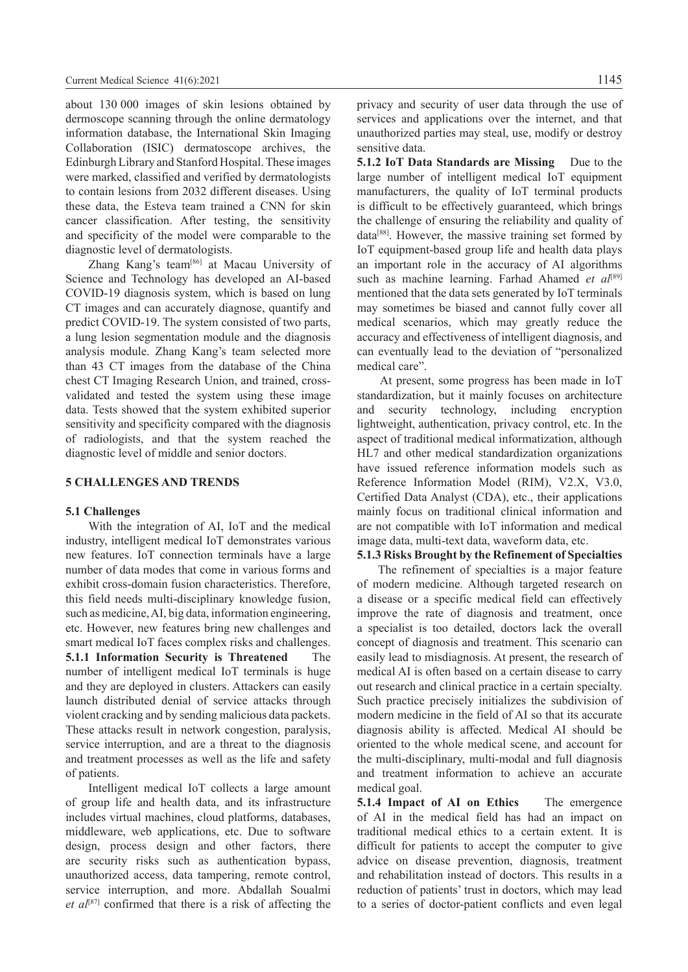about 130 000 images of skin lesions obtained by dermoscope scanning through the online dermatology information database, the International Skin Imaging Collaboration (ISIC) dermatoscope archives, the Edinburgh Library and Stanford Hospital. These images were marked, classified and verified by dermatologists to contain lesions from 2032 different diseases. Using these data, the Esteva team trained a CNN for skin cancer classification. After testing, the sensitivity and specificity of the model were comparable to the diagnostic level of dermatologists.

Zhang Kang's team[86] at Macau University of Science and Technology has developed an AI-based COVID-19 diagnosis system, which is based on lung CT images and can accurately diagnose, quantify and predict COVID-19. The system consisted of two parts, a lung lesion segmentation module and the diagnosis analysis module. Zhang Kang's team selected more than 43 CT images from the database of the China chest CT Imaging Research Union, and trained, crossvalidated and tested the system using these image data. Tests showed that the system exhibited superior sensitivity and specificity compared with the diagnosis of radiologists, and that the system reached the diagnostic level of middle and senior doctors.

#### **5 CHALLENGES AND TRENDS**

#### **5.1 Challenges**

With the integration of AI, IoT and the medical industry, intelligent medical IoT demonstrates various new features. IoT connection terminals have a large number of data modes that come in various forms and exhibit cross-domain fusion characteristics. Therefore, this field needs multi-disciplinary knowledge fusion, such as medicine, AI, big data, information engineering, etc. However, new features bring new challenges and smart medical IoT faces complex risks and challenges. **5.1.1 Information Security is Threatened** The number of intelligent medical IoT terminals is huge and they are deployed in clusters. Attackers can easily launch distributed denial of service attacks through violent cracking and by sending malicious data packets. These attacks result in network congestion, paralysis, service interruption, and are a threat to the diagnosis and treatment processes as well as the life and safety of patients.

Intelligent medical IoT collects a large amount of group life and health data, and its infrastructure includes virtual machines, cloud platforms, databases, middleware, web applications, etc. Due to software design, process design and other factors, there are security risks such as authentication bypass, unauthorized access, data tampering, remote control, service interruption, and more. Abdallah Soualmi *et al*[87] confirmed that there is a risk of affecting the

privacy and security of user data through the use of services and applications over the internet, and that unauthorized parties may steal, use, modify or destroy sensitive data.

**5.1.2 IoT Data Standards are Missing** Due to the large number of intelligent medical IoT equipment manufacturers, the quality of IoT terminal products is difficult to be effectively guaranteed, which brings the challenge of ensuring the reliability and quality of data<sup>[88]</sup>. However, the massive training set formed by IoT equipment-based group life and health data plays an important role in the accuracy of AI algorithms such as machine learning. Farhad Ahamed *et al*<sup>[89]</sup> mentioned that the data sets generated by IoT terminals may sometimes be biased and cannot fully cover all medical scenarios, which may greatly reduce the accuracy and effectiveness of intelligent diagnosis, and can eventually lead to the deviation of "personalized medical care".

At present, some progress has been made in IoT standardization, but it mainly focuses on architecture and security technology, including encryption lightweight, authentication, privacy control, etc. In the aspect of traditional medical informatization, although HL7 and other medical standardization organizations have issued reference information models such as Reference Information Model (RIM), V2.X, V3.0, Certified Data Analyst (CDA), etc., their applications mainly focus on traditional clinical information and are not compatible with IoT information and medical image data, multi-text data, waveform data, etc.

## **5.1.3 Risks Brought by the Refinement of Specialties**

The refinement of specialties is a major feature of modern medicine. Although targeted research on a disease or a specific medical field can effectively improve the rate of diagnosis and treatment, once a specialist is too detailed, doctors lack the overall concept of diagnosis and treatment. This scenario can easily lead to misdiagnosis. At present, the research of medical AI is often based on a certain disease to carry out research and clinical practice in a certain specialty. Such practice precisely initializes the subdivision of modern medicine in the field of AI so that its accurate diagnosis ability is affected. Medical AI should be oriented to the whole medical scene, and account for the multi-disciplinary, multi-modal and full diagnosis and treatment information to achieve an accurate medical goal.

**5.1.4 Impact of AI on Ethics** The emergence of AI in the medical field has had an impact on traditional medical ethics to a certain extent. It is difficult for patients to accept the computer to give advice on disease prevention, diagnosis, treatment and rehabilitation instead of doctors. This results in a reduction of patients' trust in doctors, which may lead to a series of doctor-patient conflicts and even legal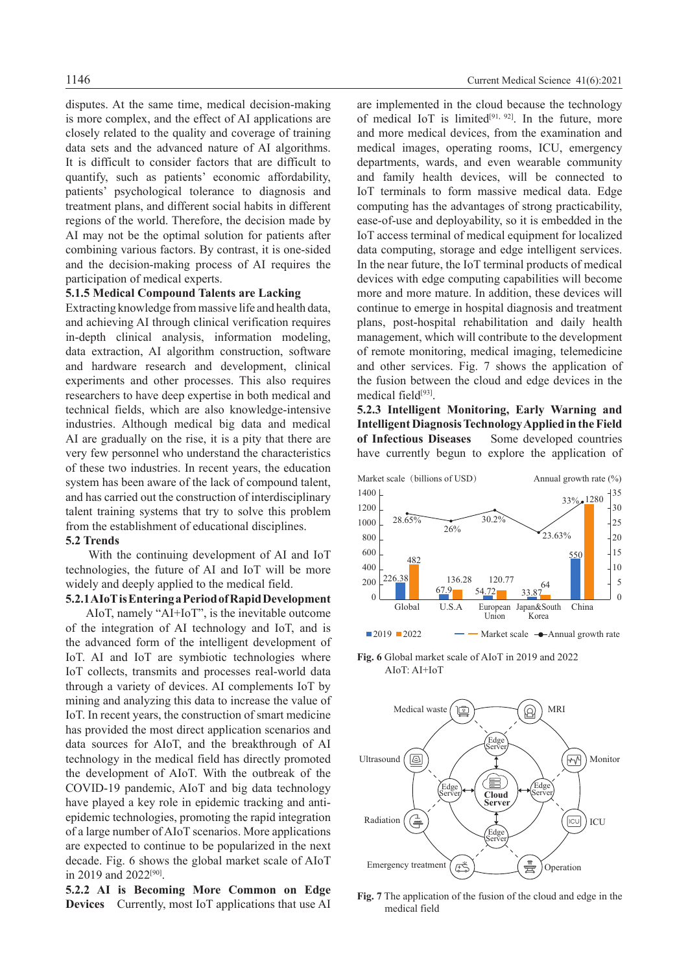disputes. At the same time, medical decision-making is more complex, and the effect of AI applications are closely related to the quality and coverage of training data sets and the advanced nature of AI algorithms. It is difficult to consider factors that are difficult to quantify, such as patients' economic affordability, patients' psychological tolerance to diagnosis and treatment plans, and different social habits in different regions of the world. Therefore, the decision made by AI may not be the optimal solution for patients after combining various factors. By contrast, it is one-sided and the decision-making process of AI requires the participation of medical experts.

#### **5.1.5 Medical Compound Talents are Lacking**

Extracting knowledge from massive life and health data, and achieving AI through clinical verification requires in-depth clinical analysis, information modeling, data extraction, AI algorithm construction, software and hardware research and development, clinical experiments and other processes. This also requires researchers to have deep expertise in both medical and technical fields, which are also knowledge-intensive industries. Although medical big data and medical AI are gradually on the rise, it is a pity that there are very few personnel who understand the characteristics of these two industries. In recent years, the education system has been aware of the lack of compound talent, and has carried out the construction of interdisciplinary talent training systems that try to solve this problem from the establishment of educational disciplines.

#### **5.2 Trends**

With the continuing development of AI and IoT technologies, the future of AI and IoT will be more widely and deeply applied to the medical field.

# **5.2.1 AIoT is Entering a Period of Rapid Development**

AIoT, namely "AI+IoT", is the inevitable outcome of the integration of AI technology and IoT, and is the advanced form of the intelligent development of IoT. AI and IoT are symbiotic technologies where IoT collects, transmits and processes real-world data through a variety of devices. AI complements IoT by mining and analyzing this data to increase the value of IoT. In recent years, the construction of smart medicine has provided the most direct application scenarios and data sources for AIoT, and the breakthrough of AI technology in the medical field has directly promoted the development of AIoT. With the outbreak of the COVID-19 pandemic, AIoT and big data technology have played a key role in epidemic tracking and antiepidemic technologies, promoting the rapid integration of a large number of AIoT scenarios. More applications are expected to continue to be popularized in the next decade. Fig. 6 shows the global market scale of AIoT in 2019 and 2022[90].

**5.2.2 AI is Becoming More Common on Edge Devices** Currently, most IoT applications that use AI

are implemented in the cloud because the technology of medical IoT is limited<sup>[91, 92]</sup>. In the future, more and more medical devices, from the examination and medical images, operating rooms, ICU, emergency departments, wards, and even wearable community and family health devices, will be connected to IoT terminals to form massive medical data. Edge computing has the advantages of strong practicability, ease-of-use and deployability, so it is embedded in the IoT access terminal of medical equipment for localized data computing, storage and edge intelligent services. In the near future, the IoT terminal products of medical devices with edge computing capabilities will become more and more mature. In addition, these devices will continue to emerge in hospital diagnosis and treatment plans, post-hospital rehabilitation and daily health management, which will contribute to the development of remote monitoring, medical imaging, telemedicine and other services. Fig. 7 shows the application of the fusion between the cloud and edge devices in the medical field<sup>[93]</sup>.

**5.2.3 Intelligent Monitoring, Early Warning and Intelligent Diagnosis Technology Applied in the Field of Infectious Diseases** Some developed countries have currently begun to explore the application of



**Fig. 6** Global market scale of AIoT in 2019 and 2022 AIoT: AI+IoT



**Fig. 7** The application of the fusion of the cloud and edge in the medical field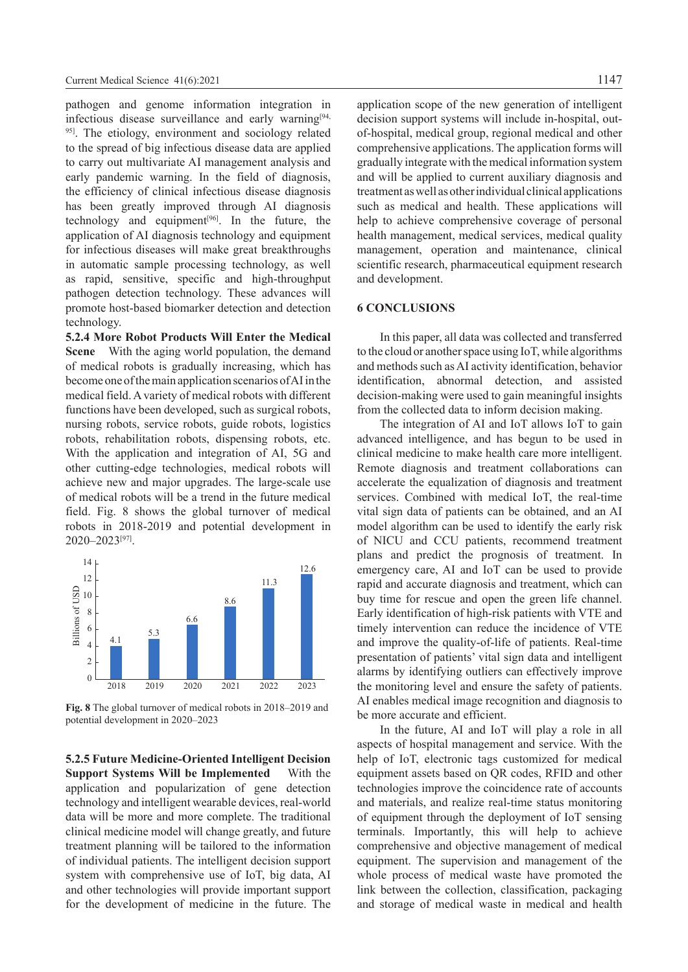pathogen and genome information integration in infectious disease surveillance and early warning<sup>[94,</sup> <sup>95]</sup>. The etiology, environment and sociology related to the spread of big infectious disease data are applied to carry out multivariate AI management analysis and early pandemic warning. In the field of diagnosis, the efficiency of clinical infectious disease diagnosis has been greatly improved through AI diagnosis technology and equipment<sup>[96]</sup>. In the future, the application of AI diagnosis technology and equipment for infectious diseases will make great breakthroughs in automatic sample processing technology, as well as rapid, sensitive, specific and high-throughput pathogen detection technology. These advances will promote host-based biomarker detection and detection technology.

**5.2.4 More Robot Products Will Enter the Medical Scene** With the aging world population, the demand of medical robots is gradually increasing, which has become one of the main application scenarios of AI in the medical field. A variety of medical robots with different functions have been developed, such as surgical robots, nursing robots, service robots, guide robots, logistics robots, rehabilitation robots, dispensing robots, etc. With the application and integration of AI, 5G and other cutting-edge technologies, medical robots will achieve new and major upgrades. The large-scale use of medical robots will be a trend in the future medical field. Fig. 8 shows the global turnover of medical robots in 2018-2019 and potential development in 2020–2023[97].



**Fig. 8** The global turnover of medical robots in 2018–2019 and

**5.2.5 Future Medicine-Oriented Intelligent Decision Support Systems Will be Implemented** With the application and popularization of gene detection technology and intelligent wearable devices, real-world data will be more and more complete. The traditional clinical medicine model will change greatly, and future treatment planning will be tailored to the information of individual patients. The intelligent decision support system with comprehensive use of IoT, big data, AI and other technologies will provide important support for the development of medicine in the future. The

application scope of the new generation of intelligent decision support systems will include in-hospital, outof-hospital, medical group, regional medical and other comprehensive applications. The application forms will gradually integrate with the medical information system and will be applied to current auxiliary diagnosis and treatment as well as other individual clinical applications such as medical and health. These applications will help to achieve comprehensive coverage of personal health management, medical services, medical quality management, operation and maintenance, clinical scientific research, pharmaceutical equipment research and development.

#### **6 CONCLUSIONS**

In this paper, all data was collected and transferred to the cloud or another space using IoT, while algorithms and methods such as AI activity identification, behavior identification, abnormal detection, and assisted decision-making were used to gain meaningful insights from the collected data to inform decision making.

The integration of AI and IoT allows IoT to gain advanced intelligence, and has begun to be used in clinical medicine to make health care more intelligent. Remote diagnosis and treatment collaborations can accelerate the equalization of diagnosis and treatment services. Combined with medical IoT, the real-time vital sign data of patients can be obtained, and an AI model algorithm can be used to identify the early risk of NICU and CCU patients, recommend treatment plans and predict the prognosis of treatment. In emergency care, AI and IoT can be used to provide rapid and accurate diagnosis and treatment, which can buy time for rescue and open the green life channel. Early identification of high-risk patients with VTE and timely intervention can reduce the incidence of VTE and improve the quality-of-life of patients. Real-time presentation of patients' vital sign data and intelligent alarms by identifying outliers can effectively improve the monitoring level and ensure the safety of patients. AI enables medical image recognition and diagnosis to be more accurate and efficient.

In the future, AI and IoT will play a role in all aspects of hospital management and service. With the help of IoT, electronic tags customized for medical equipment assets based on QR codes, RFID and other technologies improve the coincidence rate of accounts and materials, and realize real-time status monitoring of equipment through the deployment of IoT sensing terminals. Importantly, this will help to achieve comprehensive and objective management of medical equipment. The supervision and management of the whole process of medical waste have promoted the link between the collection, classification, packaging and storage of medical waste in medical and health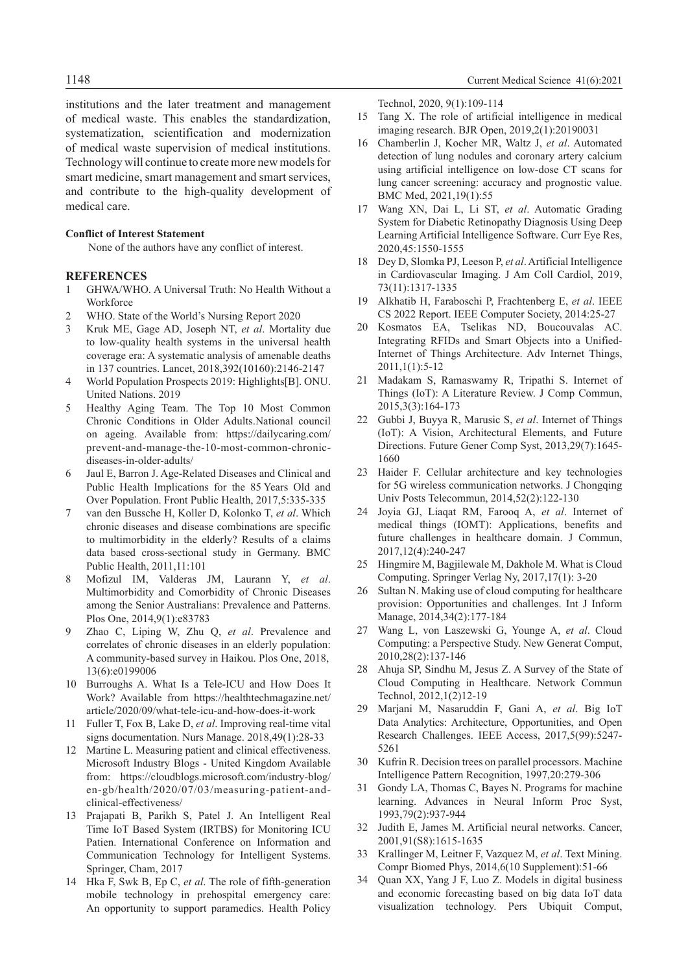institutions and the later treatment and management of medical waste. This enables the standardization, systematization, scientification and modernization of medical waste supervision of medical institutions. Technology will continue to create more new models for smart medicine, smart management and smart services, and contribute to the high-quality development of medical care.

## **Conflict of Interest Statement**

None of the authors have any conflict of interest.

#### **REFERENCES**

- 1 GHWA/WHO. A Universal Truth: No Health Without a **Workforce**
- 2 WHO. State of the World's Nursing Report 2020
- 3 Kruk ME, Gage AD, Joseph NT, *et al*. Mortality due to low-quality health systems in the universal health coverage era: A systematic analysis of amenable deaths in 137 countries. Lancet, 2018,392(10160):2146-2147
- 4 World Population Prospects 2019: Highlights[B]. ONU. United Nations. 2019
- 5 Healthy Aging Team. The Top 10 Most Common Chronic Conditions in Older Adults.National council on ageing. Available from: https://dailycaring.com/ prevent-and-manage-the-10-most-common-chronicdiseases-in-older-adults/
- Jaul E, Barron J. Age-Related Diseases and Clinical and Public Health Implications for the 85 Years Old and Over Population. Front Public Health, 2017,5:335-335
- 7 van den Bussche H, Koller D, Kolonko T, *et al*. Which chronic diseases and disease combinations are specific to multimorbidity in the elderly? Results of a claims data based cross-sectional study in Germany. BMC Public Health, 2011,11:101
- 8 Mofizul IM, Valderas JM, Laurann Y, *et al*. Multimorbidity and Comorbidity of Chronic Diseases among the Senior Australians: Prevalence and Patterns. Plos One, 2014,9(1):e83783
- 9 Zhao C, Liping W, Zhu Q, *et al*. Prevalence and correlates of chronic diseases in an elderly population: A community-based survey in Haikou. Plos One, 2018, 13(6):e0199006
- 10 Burroughs A. What Is a Tele-ICU and How Does It Work? Available from https://healthtechmagazine.net/ article/2020/09/what-tele-icu-and-how-does-it-work
- 11 Fuller T, Fox B, Lake D, *et al*. Improving real-time vital signs documentation. Nurs Manage. 2018,49(1):28-33
- 12 Martine L. Measuring patient and clinical effectiveness. Microsoft Industry Blogs - United Kingdom Available from: https://cloudblogs.microsoft.com/industry-blog/ en-gb/health/2020/07/03/measuring-patient-andclinical-effectiveness/
- 13 Prajapati B, Parikh S, Patel J. An Intelligent Real Time IoT Based System (IRTBS) for Monitoring ICU Patien. International Conference on Information and Communication Technology for Intelligent Systems. Springer, Cham, 2017
- 14 Hka F, Swk B, Ep C, *et al*. The role of fifth-generation mobile technology in prehospital emergency care: An opportunity to support paramedics. Health Policy

Technol, 2020, 9(1):109-114

- 15 Tang X. The role of artificial intelligence in medical imaging research. BJR Open, 2019,2(1):20190031
- 16 Chamberlin J, Kocher MR, Waltz J, *et al*. Automated detection of lung nodules and coronary artery calcium using artificial intelligence on low-dose CT scans for lung cancer screening: accuracy and prognostic value. BMC Med, 2021,19(1):55
- 17 Wang XN, Dai L, Li ST, *et al*. Automatic Grading System for Diabetic Retinopathy Diagnosis Using Deep Learning Artificial Intelligence Software. Curr Eye Res, 2020,45:1550-1555
- 18 Dey D, Slomka PJ, Leeson P, *et al*. Artificial Intelligence in Cardiovascular Imaging. J Am Coll Cardiol, 2019, 73(11):1317-1335
- 19 Alkhatib H, Faraboschi P, Frachtenberg E, *et al*. IEEE CS 2022 Report. IEEE Computer Society, 2014:25-27
- 20 Kosmatos EA, Tselikas ND, Boucouvalas AC. Integrating RFIDs and Smart Objects into a Unified-Internet of Things Architecture. Adv Internet Things, 2011,1(1):5-12
- 21 Madakam S, Ramaswamy R, Tripathi S. Internet of Things (IoT): A Literature Review. J Comp Commun, 2015,3(3):164-173
- 22 Gubbi J, Buyya R, Marusic S, *et al*. Internet of Things (IoT): A Vision, Architectural Elements, and Future Directions. Future Gener Comp Syst, 2013,29(7):1645- 1660
- 23 Haider F. Cellular architecture and key technologies for 5G wireless communication networks. J Chongqing Univ Posts Telecommun, 2014,52(2):122-130
- 24 Joyia GJ, Liaqat RM, Farooq A, *et al*. Internet of medical things (IOMT): Applications, benefits and future challenges in healthcare domain. J Commun, 2017,12(4):240-247
- 25 Hingmire M, Bagjilewale M, Dakhole M. What is Cloud Computing. Springer Verlag Ny, 2017,17(1): 3-20
- 26 Sultan N. Making use of cloud computing for healthcare provision: Opportunities and challenges. Int J Inform Manage, 2014,34(2):177-184
- 27 Wang L, von Laszewski G, Younge A, *et al*. Cloud Computing: a Perspective Study. New Generat Comput, 2010,28(2):137-146
- 28 Ahuja SP, Sindhu M, Jesus Z. A Survey of the State of Cloud Computing in Healthcare. Network Commun Technol, 2012,1(2)12-19
- 29 Marjani M, Nasaruddin F, Gani A, *et al*. Big IoT Data Analytics: Architecture, Opportunities, and Open Research Challenges. IEEE Access, 2017,5(99):5247- 5261
- 30 Kufrin R. Decision trees on parallel processors. Machine Intelligence Pattern Recognition, 1997,20:279-306
- 31 Gondy LA, Thomas C, Bayes N. Programs for machine learning. Advances in Neural Inform Proc Syst, 1993,79(2):937-944
- 32 Judith E, James M. Artificial neural networks. Cancer, 2001,91(S8):1615-1635
- 33 Krallinger M, Leitner F, Vazquez M, *et al*. Text Mining. Compr Biomed Phys, 2014,6(10 Supplement):51-66
- 34 Quan XX, Yang J F, Luo Z. Models in digital business and economic forecasting based on big data IoT data visualization technology. Pers Ubiquit Comput,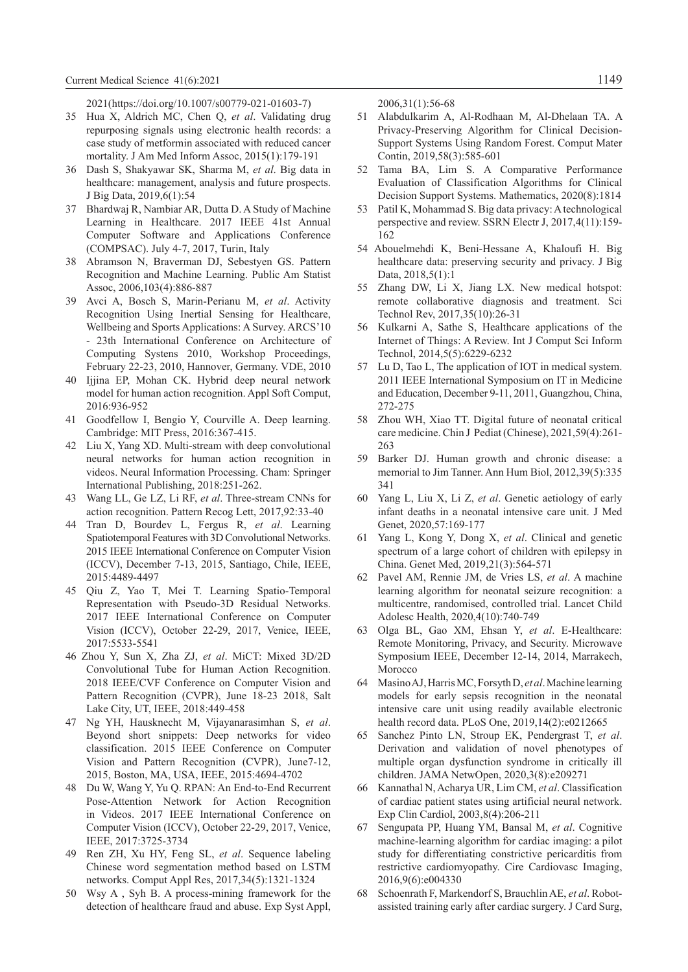2021(https://doi.org/10.1007/s00779-021-01603-7)

- 35 Hua X, Aldrich MC, Chen Q, *et al*. Validating drug repurposing signals using electronic health records: a case study of metformin associated with reduced cancer mortality. J Am Med Inform Assoc, 2015(1):179-191
- 36 Dash S, Shakyawar SK, Sharma M, *et al*. Big data in healthcare: management, analysis and future prospects. J Big Data, 2019,6(1):54
- 37 Bhardwaj R, Nambiar AR, Dutta D. A Study of Machine Learning in Healthcare. 2017 IEEE 41st Annual Computer Software and Applications Conference (COMPSAC). July 4-7, 2017, Turin, Italy
- 38 Abramson N, Braverman DJ, Sebestyen GS. Pattern Recognition and Machine Learning. Public Am Statist Assoc, 2006,103(4):886-887
- 39 Avci A, Bosch S, Marin-Perianu M, *et al*. Activity Recognition Using Inertial Sensing for Healthcare, Wellbeing and Sports Applications: A Survey. ARCS'10 - 23th International Conference on Architecture of Computing Systens 2010, Workshop Proceedings, February 22-23, 2010, Hannover, Germany. VDE, 2010
- 40 Ijjina EP, Mohan CK. Hybrid deep neural network model for human action recognition. Appl Soft Comput, 2016:936-952
- 41 Goodfellow I, Bengio Y, Courville A. Deep learning. Cambridge: MIT Press, 2016:367-415.
- 42 Liu X, Yang XD. Multi-stream with deep convolutional neural networks for human action recognition in videos. Neural Information Processing. Cham: Springer International Publishing, 2018:251-262.
- 43 Wang LL, Ge LZ, Li RF, *et al*. Three-stream CNNs for action recognition. Pattern Recog Lett, 2017,92:33-40
- 44 Tran D, Bourdev L, Fergus R, *et al*. Learning Spatiotemporal Features with 3D Convolutional Networks. 2015 IEEE International Conference on Computer Vision (ICCV), December 7-13, 2015, Santiago, Chile, IEEE, 2015:4489-4497
- 45 Qiu Z, Yao T, Mei T. Learning Spatio-Temporal Representation with Pseudo-3D Residual Networks. 2017 IEEE International Conference on Computer Vision (ICCV), October 22-29, 2017, Venice, IEEE, 2017:5533-5541
- 46 Zhou Y, Sun X, Zha ZJ, *et al*. MiCT: Mixed 3D/2D Convolutional Tube for Human Action Recognition. 2018 IEEE/CVF Conference on Computer Vision and Pattern Recognition (CVPR), June 18-23 2018, Salt Lake City, UT, IEEE, 2018:449-458
- 47 Ng YH, Hausknecht M, Vijayanarasimhan S, *et al*. Beyond short snippets: Deep networks for video classification. 2015 IEEE Conference on Computer Vision and Pattern Recognition (CVPR), June7-12, 2015, Boston, MA, USA, IEEE, 2015:4694-4702
- 48 Du W, Wang Y, Yu Q. RPAN: An End-to-End Recurrent Pose-Attention Network for Action Recognition in Videos. 2017 IEEE International Conference on Computer Vision (ICCV), October 22-29, 2017, Venice, IEEE, 2017:3725-3734
- 49 Ren ZH, Xu HY, Feng SL, *et al*. Sequence labeling Chinese word segmentation method based on LSTM networks. Comput Appl Res, 2017,34(5):1321-1324
- 50 Wsy A , Syh B. A process-mining framework for the detection of healthcare fraud and abuse. Exp Syst Appl,

2006,31(1):56-68

- 51 Alabdulkarim A, Al-Rodhaan M, Al-Dhelaan TA. A Privacy-Preserving Algorithm for Clinical Decision-Support Systems Using Random Forest. Comput Mater Contin, 2019,58(3):585-601
- 52 Tama BA, Lim S. A Comparative Performance Evaluation of Classification Algorithms for Clinical Decision Support Systems. Mathematics, 2020(8):1814
- 53 Patil K, Mohammad S. Big data privacy: A technological perspective and review. SSRN Electr J, 2017,4(11):159- 162
- 54 Abouelmehdi K, Beni-Hessane A, Khaloufi H. Big healthcare data: preserving security and privacy. J Big Data, 2018,5(1):1
- 55 Zhang DW, Li X, Jiang LX. New medical hotspot: remote collaborative diagnosis and treatment. Sci Technol Rev, 2017,35(10):26-31
- 56 Kulkarni A, Sathe S, Healthcare applications of the Internet of Things: A Review. Int J Comput Sci Inform Technol, 2014,5(5):6229-6232
- 57 Lu D, Tao L, The application of IOT in medical system. 2011 IEEE International Symposium on IT in Medicine and Education, December 9-11, 2011, Guangzhou, China, 272-275
- 58 Zhou WH, Xiao TT. Digital future of neonatal critical care medicine. Chin J Pediat (Chinese), 2021,59(4):261- 263
- 59 Barker DJ. Human growth and chronic disease: a memorial to Jim Tanner. Ann Hum Biol, 2012,39(5):335 341
- 60 Yang L, Liu X, Li Z, *et al*. Genetic aetiology of early infant deaths in a neonatal intensive care unit. J Med Genet, 2020,57:169-177
- 61 Yang L, Kong Y, Dong X, *et al*. Clinical and genetic spectrum of a large cohort of children with epilepsy in China. Genet Med, 2019,21(3):564-571
- 62 Pavel AM, Rennie JM, de Vries LS, *et al*. A machine learning algorithm for neonatal seizure recognition: a multicentre, randomised, controlled trial. Lancet Child Adolesc Health, 2020,4(10):740-749
- 63 Olga BL, Gao XM, Ehsan Y, *et al*. E-Healthcare: Remote Monitoring, Privacy, and Security. Microwave Symposium IEEE, December 12-14, 2014, Marrakech, Morocco
- 64 Masino AJ, Harris MC, Forsyth D, *et al*. Machine learning models for early sepsis recognition in the neonatal intensive care unit using readily available electronic health record data. PLoS One, 2019,14(2):e0212665
- 65 Sanchez Pinto LN, Stroup EK, Pendergrast T, *et al*. Derivation and validation of novel phenotypes of multiple organ dysfunction syndrome in critically ill children. JAMA NetwOpen, 2020,3(8):e209271
- 66 Kannathal N, Acharya UR, Lim CM, *et al*. Classification of cardiac patient states using artificial neural network. Exp Clin Cardiol, 2003,8(4):206-211
- 67 Sengupata PP, Huang YM, Bansal M, *et al*. Cognitive machine-learning algorithm for cardiac imaging: a pilot study for differentiating constrictive pericarditis from restrictive cardiomyopathy. Cire Cardiovasc Imaging, 2016,9(6):e004330
- 68 Schoenrath F, Markendorf S, Brauchlin AE, *et al*. Robotassisted training early after cardiac surgery. J Card Surg,